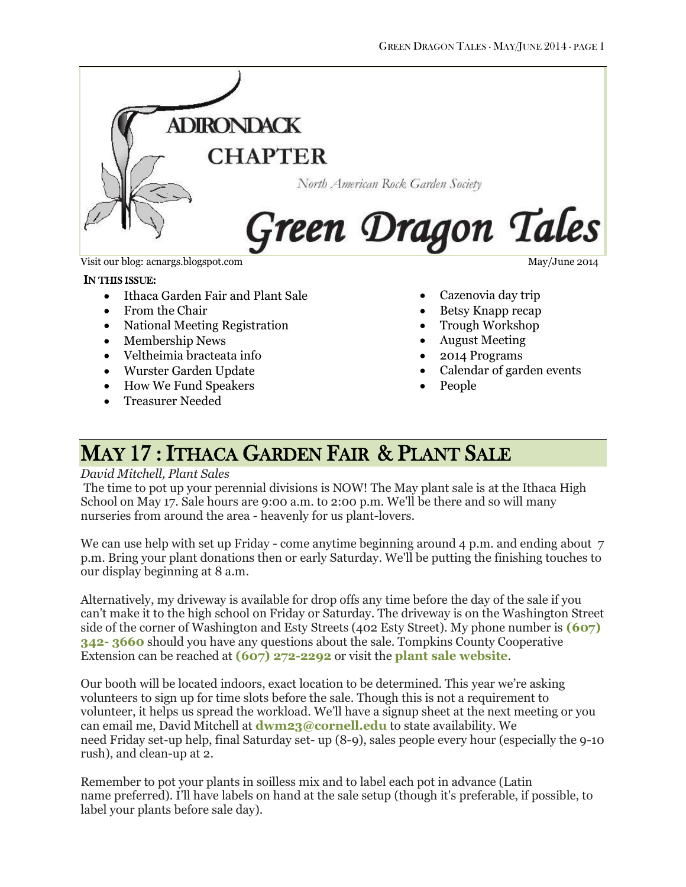

Visit our blog: acnargs.blogspot.com May/June 2014

#### IN THIS ISSUE:

- Ithaca Garden Fair and Plant Sale
- From the Chair
- National Meeting Registration
- Membership News
- Veltheimia bracteata info
- Wurster Garden Update
- How We Fund Speakers
- Treasurer Needed

- Cazenovia day trip
- Betsy Knapp recap
- Trough Workshop
- August Meeting
- 2014 Programs
- Calendar of garden events
- People

### MAY 17 : ITHACA GARDEN FAIR & PLANT SALE

#### *David Mitchell, Plant Sales*

The time to pot up your perennial divisions is NOW! The May plant sale is at the Ithaca High School on May 17. Sale hours are 9:00 a.m. to 2:00 p.m. We'll be there and so will many nurseries from around the area - heavenly for us plant-lovers.

We can use help with set up Friday - come anytime beginning around  $\Delta$  p.m. and ending about  $\Delta$ p.m. Bring your plant donations then or early Saturday. We'll be putting the finishing touches to our display beginning at 8 a.m.

Alternatively, my driveway is available for drop offs any time before the day of the sale if you can't make it to the high school on Friday or Saturday. The driveway is on the Washington Street side of the corner of Washington and Esty Streets (402 Esty Street). My phone number is **[\(607\)](tel:%28607%29%20342-%203660)  342- [3660](tel:%28607%29%20342-%203660)** should you have any questions about the sale. Tompkins County Cooperative Extension can be reached at **[\(607\) 272-2292](tel:%28607%29%20272-2292)** or visit the **[plant sale website](http://ccetompkins.org/garden/spring-plant-sale)**.

Our booth will be located indoors, exact location to be determined. This year we're asking volunteers to sign up for time slots before the sale. Though this is not a requirement to volunteer, it helps us spread the workload. We'll have a signup sheet at the next meeting or you can email me, David Mitchell at **[dwm23@cornell.edu](mailto:dwm23@cornell.edu)** to state availability. We need Friday set-up help, final Saturday set- up (8-9), sales people every hour (especially the 9-10 rush), and clean-up at 2.

Remember to pot your plants in soilless mix and to label each pot in advance (Latin name preferred). I'll have labels on hand at the sale setup (though it's preferable, if possible, to label your plants before sale day).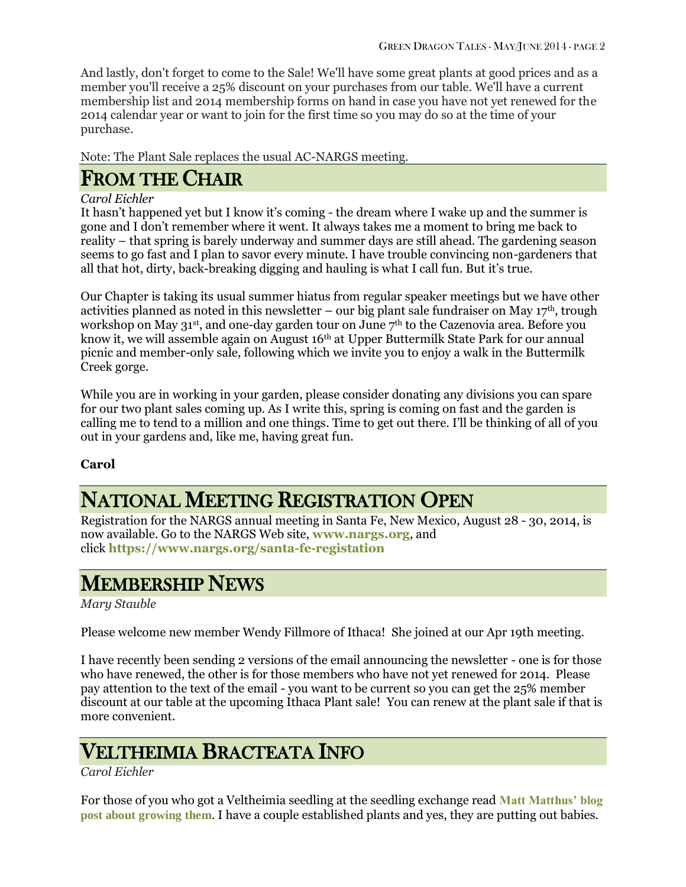And lastly, don't forget to come to the Sale! We'll have some great plants at good prices and as a member you'll receive a 25% discount on your purchases from our table. We'll have a current membership list and 2014 membership forms on hand in case you have not yet renewed for the 2014 calendar year or want to join for the first time so you may do so at the time of your purchase.

Note: The Plant Sale replaces the usual AC-NARGS meeting.

### FROM THE CHAIR

#### *Carol Eichler*

It hasn't happened yet but I know it's coming - the dream where I wake up and the summer is gone and I don't remember where it went. It always takes me a moment to bring me back to reality – that spring is barely underway and summer days are still ahead. The gardening season seems to go fast and I plan to savor every minute. I have trouble convincing non-gardeners that all that hot, dirty, back-breaking digging and hauling is what I call fun. But it's true.

Our Chapter is taking its usual summer hiatus from regular speaker meetings but we have other activities planned as noted in this newsletter – our big plant sale fundraiser on May  $17<sup>th</sup>$ , trough workshop on May 31st, and one-day garden tour on June 7th to the Cazenovia area. Before you know it, we will assemble again on August 16<sup>th</sup> at Upper Buttermilk State Park for our annual picnic and member-only sale, following which we invite you to enjoy a walk in the Buttermilk Creek gorge.

While you are in working in your garden, please consider donating any divisions you can spare for our two plant sales coming up. As I write this, spring is coming on fast and the garden is calling me to tend to a million and one things. Time to get out there. I'll be thinking of all of you out in your gardens and, like me, having great fun.

#### **Carol**

# NATIONAL MEETING REGISTRATION OPEN

Registration for the NARGS annual meeting in Santa Fe, New Mexico, August 28 - 30, 2014, is now available. Go to the NARGS Web site, **[www.nargs.org](http://www.nargs.org/)**, and click **<https://www.nargs.org/santa-fe-registation>**

# MEMBERSHIP NEWS

#### *Mary Stauble*

Please welcome new member Wendy Fillmore of Ithaca! She joined at our Apr 19th meeting.

I have recently been sending 2 versions of the email announcing the newsletter - one is for those who have renewed, the other is for those members who have not yet renewed for 2014. Please pay attention to the text of the email - you want to be current so you can get the 25% member discount at our table at the upcoming Ithaca Plant sale! You can renew at the plant sale if that is more convenient.

### VELTHEIMIA BRACTEATA INFO

#### *Carol Eichler*

For those of you who got a Veltheimia seedling at the seedling exchange read **[Matt Matthus' blog](http://www.growingwithplants.com/2014/03/grow-veltheimia-and-best-bulb-giveaway.html)  [post about growing them](http://www.growingwithplants.com/2014/03/grow-veltheimia-and-best-bulb-giveaway.html)**. I have a couple established plants and yes, they are putting out babies.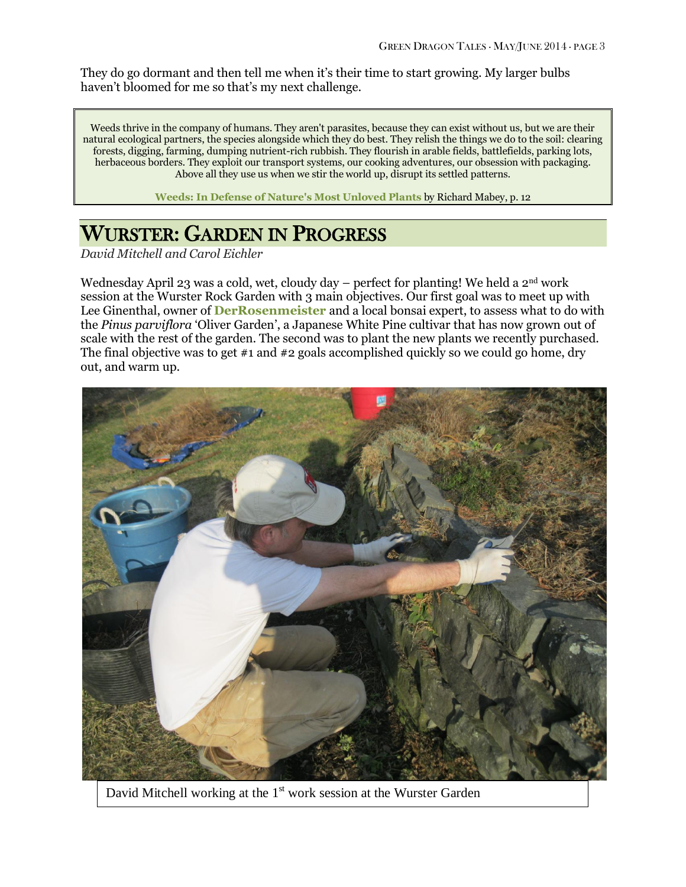They do go dormant and then tell me when it's their time to start growing. My larger bulbs haven't bloomed for me so that's my next challenge.

Weeds thrive in the company of humans. They aren't parasites, because they can exist without us, but we are their natural ecological partners, the species alongside which they do best. They relish the things we do to the soil: clearing forests, digging, farming, dumping nutrient-rich rubbish. They flourish in arable fields, battlefields, parking lots, herbaceous borders. They exploit our transport systems, our cooking adventures, our obsession with packaging. Above all they use us when we stir the world up, disrupt its settled patterns.

**[Weeds: In Defense of Nature's Most Unloved Plants](http://www.amazon.com/gp/product/0062065467/ref=as_li_tl?ie=UTF8&camp=1789&creative=390957&creativeASIN=0062065467&linkCode=as2&tag=coldclimatega-20&linkId=D7TWRGKSBCAGWGRO)** by Richard Mabey, p. 12

# WURSTER: GARDEN IN PROGRESS

*David Mitchell and Carol Eichler*

Wednesday April 23 was a cold, wet, cloudy day – perfect for planting! We held a 2<sup>nd</sup> work session at the Wurster Rock Garden with 3 main objectives. Our first goal was to meet up with Lee Ginenthal, owner of **[DerRosenmeister](http://www.derrosenmeister.com/)** and a local bonsai expert, to assess what to do with the *Pinus parviflora* 'Oliver Garden', a Japanese White Pine cultivar that has now grown out of scale with the rest of the garden. The second was to plant the new plants we recently purchased. The final objective was to get #1 and #2 goals accomplished quickly so we could go home, dry out, and warm up.



David Mitchell working at the 1<sup>st</sup> work session at the Wurster Garden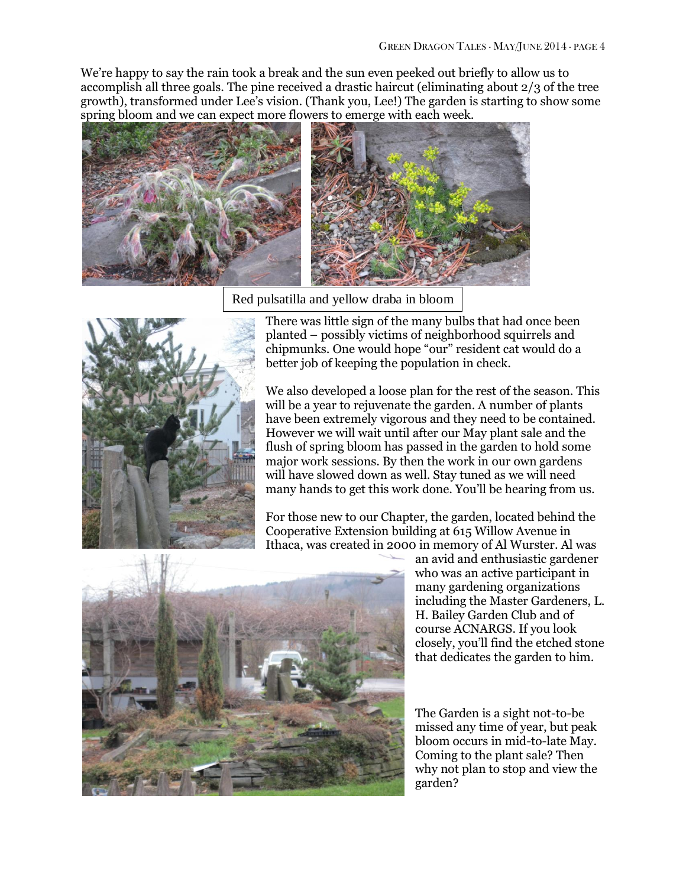We're happy to say the rain took a break and the sun even peeked out briefly to allow us to accomplish all three goals. The pine received a drastic haircut (eliminating about 2/3 of the tree growth), transformed under Lee's vision. (Thank you, Lee!) The garden is starting to show some spring bloom and we can expect more flowers to emerge with each week.



Red pulsatilla and yellow draba in bloom



There was little sign of the many bulbs that had once been planted – possibly victims of neighborhood squirrels and chipmunks. One would hope "our" resident cat would do a better job of keeping the population in check.

We also developed a loose plan for the rest of the season. This will be a year to rejuvenate the garden. A number of plants have been extremely vigorous and they need to be contained. However we will wait until after our May plant sale and the flush of spring bloom has passed in the garden to hold some major work sessions. By then the work in our own gardens will have slowed down as well. Stay tuned as we will need many hands to get this work done. You'll be hearing from us.

For those new to our Chapter, the garden, located behind the Cooperative Extension building at 615 Willow Avenue in Ithaca, was created in 2000 in memory of Al Wurster. Al was



an avid and enthusiastic gardener who was an active participant in many gardening organizations including the Master Gardeners, L. H. Bailey Garden Club and of course ACNARGS. If you look closely, you'll find the etched stone that dedicates the garden to him.

The Garden is a sight not-to-be missed any time of year, but peak bloom occurs in mid-to-late May. Coming to the plant sale? Then why not plan to stop and view the garden?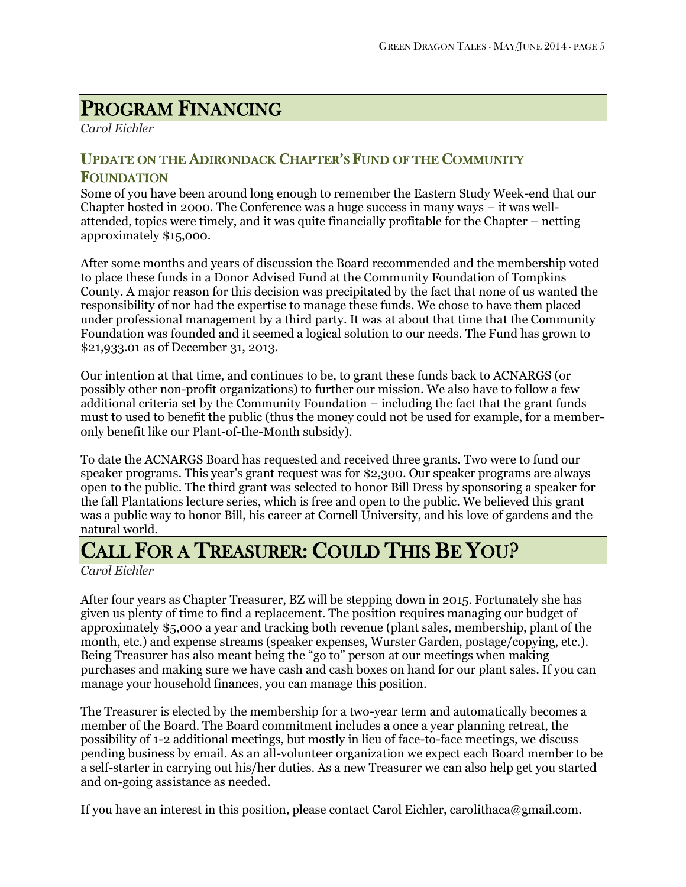# PROGRAM FINANCING

*Carol Eichler*

#### UPDATE ON THE ADIRONDACK CHAPTER'S FUND OF THE COMMUNITY FOUNDATION

Some of you have been around long enough to remember the Eastern Study Week-end that our Chapter hosted in 2000. The Conference was a huge success in many ways – it was wellattended, topics were timely, and it was quite financially profitable for the Chapter – netting approximately \$15,000.

After some months and years of discussion the Board recommended and the membership voted to place these funds in a Donor Advised Fund at the Community Foundation of Tompkins County. A major reason for this decision was precipitated by the fact that none of us wanted the responsibility of nor had the expertise to manage these funds. We chose to have them placed under professional management by a third party. It was at about that time that the Community Foundation was founded and it seemed a logical solution to our needs. The Fund has grown to \$21,933.01 as of December 31, 2013.

Our intention at that time, and continues to be, to grant these funds back to ACNARGS (or possibly other non-profit organizations) to further our mission. We also have to follow a few additional criteria set by the Community Foundation – including the fact that the grant funds must to used to benefit the public (thus the money could not be used for example, for a memberonly benefit like our Plant-of-the-Month subsidy).

To date the ACNARGS Board has requested and received three grants. Two were to fund our speaker programs. This year's grant request was for \$2,300. Our speaker programs are always open to the public. The third grant was selected to honor Bill Dress by sponsoring a speaker for the fall Plantations lecture series, which is free and open to the public. We believed this grant was a public way to honor Bill, his career at Cornell University, and his love of gardens and the natural world.

# CALL FOR A TREASURER: COULD THIS BE YOU?

*Carol Eichler*

After four years as Chapter Treasurer, BZ will be stepping down in 2015. Fortunately she has given us plenty of time to find a replacement. The position requires managing our budget of approximately \$5,000 a year and tracking both revenue (plant sales, membership, plant of the month, etc.) and expense streams (speaker expenses, Wurster Garden, postage/copying, etc.). Being Treasurer has also meant being the "go to" person at our meetings when making purchases and making sure we have cash and cash boxes on hand for our plant sales. If you can manage your household finances, you can manage this position.

The Treasurer is elected by the membership for a two-year term and automatically becomes a member of the Board. The Board commitment includes a once a year planning retreat, the possibility of 1-2 additional meetings, but mostly in lieu of face-to-face meetings, we discuss pending business by email. As an all-volunteer organization we expect each Board member to be a self-starter in carrying out his/her duties. As a new Treasurer we can also help get you started and on-going assistance as needed.

If you have an interest in this position, please contact Carol Eichler, carolithaca@gmail.com.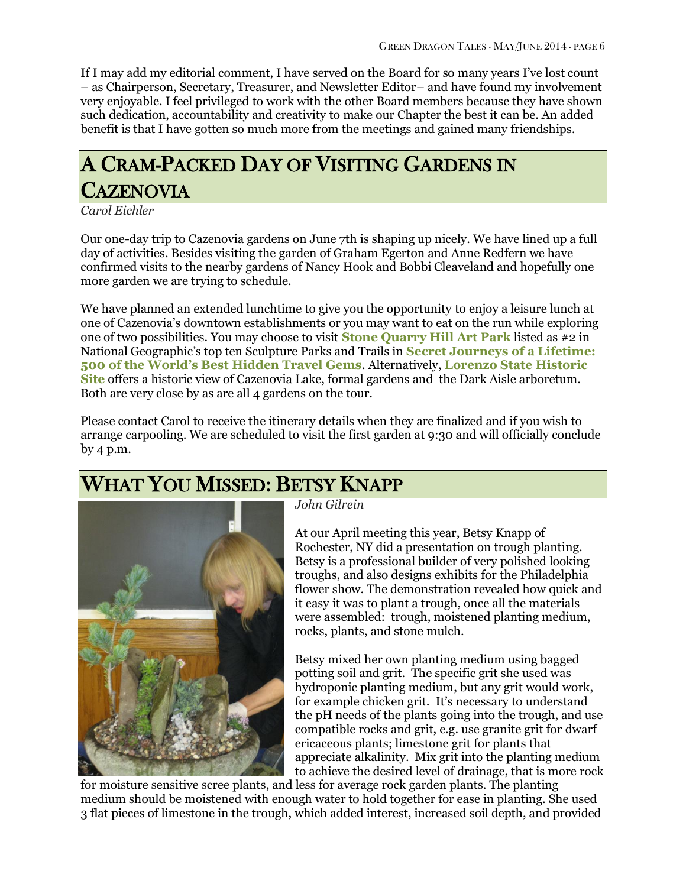If I may add my editorial comment, I have served on the Board for so many years I've lost count – as Chairperson, Secretary, Treasurer, and Newsletter Editor– and have found my involvement very enjoyable. I feel privileged to work with the other Board members because they have shown such dedication, accountability and creativity to make our Chapter the best it can be. An added benefit is that I have gotten so much more from the meetings and gained many friendships.

# A CRAM-PACKED DAY OF VISITING GARDENS IN **CAZENOVIA**

*Carol Eichler*

Our one-day trip to Cazenovia gardens on June 7th is shaping up nicely. We have lined up a full day of activities. Besides visiting the garden of Graham Egerton and Anne Redfern we have confirmed visits to the nearby gardens of Nancy Hook and Bobbi Cleaveland and hopefully one more garden we are trying to schedule.

We have planned an extended lunchtime to give you the opportunity to enjoy a leisure lunch at one of Cazenovia's downtown establishments or you may want to eat on the run while exploring one of two possibilities. You may choose to visit **[Stone Quarry Hill Art Park](http://www.stonequarryhillartpark.org/)** listed as #2 in National Geographic's top ten Sculpture Parks and Trails in **[Secret Journeys of a Lifetime:](http://www.amazon.com/gp/product/1426206461/ref=as_li_tl?ie=UTF8&camp=1789&creative=390957&creativeASIN=1426206461&linkCode=as2&tag=coldclimatega-20&linkId=SCO55KLZL5G5HZUH)  [500 of the World's Best Hidden Travel Gems](http://www.amazon.com/gp/product/1426206461/ref=as_li_tl?ie=UTF8&camp=1789&creative=390957&creativeASIN=1426206461&linkCode=as2&tag=coldclimatega-20&linkId=SCO55KLZL5G5HZUH)**. Alternatively, **[Lorenzo State Historic](http://www.lorenzony.org/)  [Site](http://www.lorenzony.org/)** offers a historic view of Cazenovia Lake, formal gardens and the Dark Aisle arboretum. Both are very close by as are all 4 gardens on the tour.

Please contact Carol to receive the itinerary details when they are finalized and if you wish to arrange carpooling. We are scheduled to visit the first garden at 9:30 and will officially conclude by 4 p.m.

### WHAT YOU MISSED: BETSY KNAPP



*John Gilrein*

At our April meeting this year, Betsy Knapp of Rochester, NY did a presentation on trough planting. Betsy is a professional builder of very polished looking troughs, and also designs exhibits for the Philadelphia flower show. The demonstration revealed how quick and it easy it was to plant a trough, once all the materials were assembled: trough, moistened planting medium, rocks, plants, and stone mulch.

Betsy mixed her own planting medium using bagged potting soil and grit. The specific grit she used was hydroponic planting medium, but any grit would work, for example chicken grit. It's necessary to understand the pH needs of the plants going into the trough, and use compatible rocks and grit, e.g. use granite grit for dwarf ericaceous plants; limestone grit for plants that appreciate alkalinity. Mix grit into the planting medium to achieve the desired level of drainage, that is more rock

for moisture sensitive scree plants, and less for average rock garden plants. The planting medium should be moistened with enough water to hold together for ease in planting. She used 3 flat pieces of limestone in the trough, which added interest, increased soil depth, and provided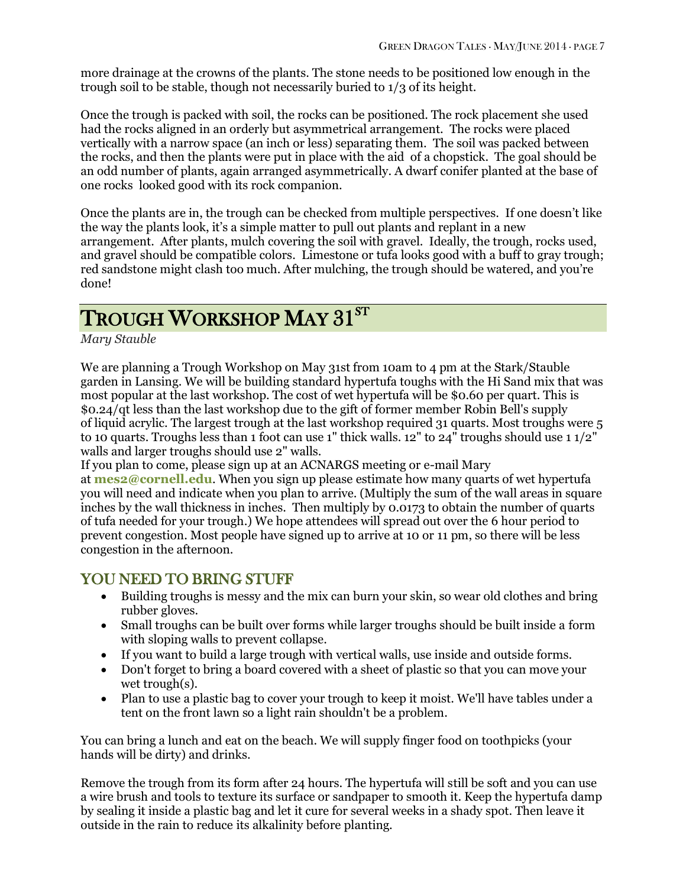more drainage at the crowns of the plants. The stone needs to be positioned low enough in the trough soil to be stable, though not necessarily buried to 1/3 of its height.

Once the trough is packed with soil, the rocks can be positioned. The rock placement she used had the rocks aligned in an orderly but asymmetrical arrangement. The rocks were placed vertically with a narrow space (an inch or less) separating them. The soil was packed between the rocks, and then the plants were put in place with the aid of a chopstick. The goal should be an odd number of plants, again arranged asymmetrically. A dwarf conifer planted at the base of one rocks looked good with its rock companion.

Once the plants are in, the trough can be checked from multiple perspectives. If one doesn't like the way the plants look, it's a simple matter to pull out plants and replant in a new arrangement. After plants, mulch covering the soil with gravel. Ideally, the trough, rocks used, and gravel should be compatible colors. Limestone or tufa looks good with a buff to gray trough; red sandstone might clash too much. After mulching, the trough should be watered, and you're done!

# $\rm TROUGH~WORKSHOP~MAT~31^{ST}$

*Mary Stauble*

We are planning a Trough Workshop on May 31st from 10am to 4 pm at the Stark/Stauble garden in Lansing. We will be building standard hypertufa toughs with the Hi Sand mix that was most popular at the last workshop. The cost of wet hypertufa will be \$0.60 per quart. This is \$0.24/qt less than the last workshop due to the gift of former member Robin Bell's supply of liquid acrylic. The largest trough at the last workshop required 31 quarts. Most troughs were 5 to 10 quarts. Troughs less than 1 foot can use 1" thick walls. 12" to 24" troughs should use 1 1/2" walls and larger troughs should use 2" walls.

If you plan to come, please sign up at an ACNARGS meeting or e-mail Mary at **[mes2@cornell.edu](mailto:mes2@cornell.edu)**. When you sign up please estimate how many quarts of wet hypertufa you will need and indicate when you plan to arrive. (Multiply the sum of the wall areas in square inches by the wall thickness in inches. Then multiply by 0.0173 to obtain the number of quarts of tufa needed for your trough.) We hope attendees will spread out over the 6 hour period to prevent congestion. Most people have signed up to arrive at 10 or 11 pm, so there will be less congestion in the afternoon.

### YOU NEED TO BRING STUFF

- Building troughs is messy and the mix can burn your skin, so wear old clothes and bring rubber gloves.
- Small troughs can be built over forms while larger troughs should be built inside a form with sloping walls to prevent collapse.
- If you want to build a large trough with vertical walls, use inside and outside forms.
- Don't forget to bring a board covered with a sheet of plastic so that you can move your wet trough(s).
- Plan to use a plastic bag to cover your trough to keep it moist. We'll have tables under a tent on the front lawn so a light rain shouldn't be a problem.

You can bring a lunch and eat on the beach. We will supply finger food on toothpicks (your hands will be dirty) and drinks.

Remove the trough from its form after 24 hours. The hypertufa will still be soft and you can use a wire brush and tools to texture its surface or sandpaper to smooth it. Keep the hypertufa damp by sealing it inside a plastic bag and let it cure for several weeks in a shady spot. Then leave it outside in the rain to reduce its alkalinity before planting.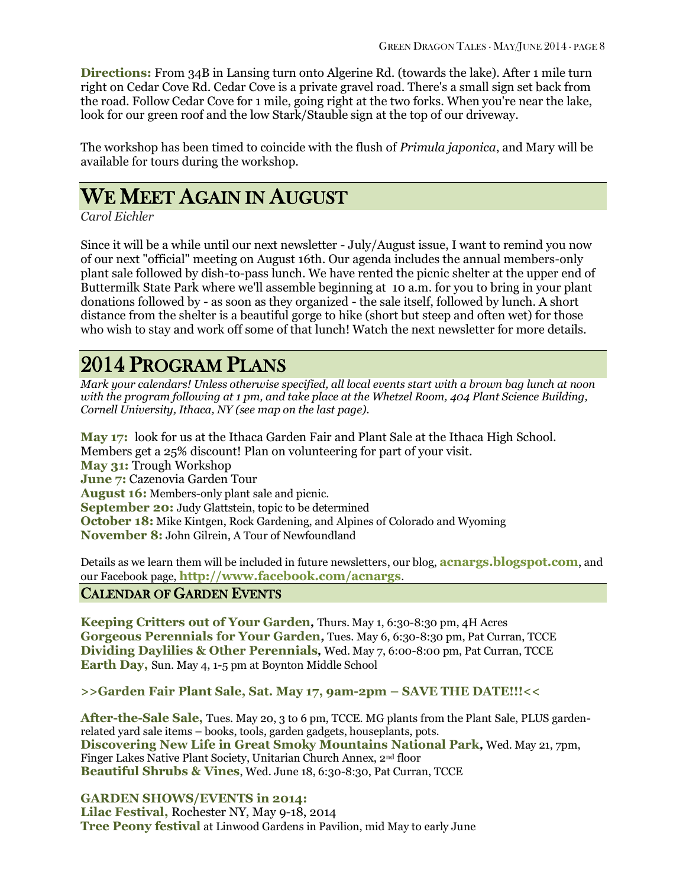**Directions:** From 34B in Lansing turn onto Algerine Rd. (towards the lake). After 1 mile turn right on Cedar Cove Rd. Cedar Cove is a private gravel road. There's a small sign set back from the road. Follow Cedar Cove for 1 mile, going right at the two forks. When you're near the lake, look for our green roof and the low Stark/Stauble sign at the top of our driveway.

The workshop has been timed to coincide with the flush of *Primula japonica*, and Mary will be available for tours during the workshop.

### WE MEET AGAIN IN AUGUST

*Carol Eichler*

Since it will be a while until our next newsletter - July/August issue, I want to remind you now of our next "official" meeting on August 16th. Our agenda includes the annual members-only plant sale followed by dish-to-pass lunch. We have rented the picnic shelter at the upper end of Buttermilk State Park where we'll assemble beginning at 10 a.m. for you to bring in your plant donations followed by - as soon as they organized - the sale itself, followed by lunch. A short distance from the shelter is a beautiful gorge to hike (short but steep and often wet) for those who wish to stay and work off some of that lunch! Watch the next newsletter for more details.

# 2014 PROGRAM PLANS

*Mark your calendars! Unless otherwise specified, all local events start with a brown bag lunch at noon with the program following at 1 pm, and take place at the Whetzel Room, 404 Plant Science Building, Cornell University, Ithaca, NY (see map on the last page).*

**May 17:** look for us at the Ithaca Garden Fair and Plant Sale at the Ithaca High School. Members get a 25% discount! Plan on volunteering for part of your visit. **May 31:** Trough Workshop **June 7:** Cazenovia Garden Tour **August 16:** Members-only plant sale and picnic. **September 20:** Judy Glattstein, topic to be determined **October 18:** Mike Kintgen, Rock Gardening, and Alpines of Colorado and Wyoming **November 8:** John Gilrein, A Tour of Newfoundland

Details as we learn them will be included in future newsletters, our blog, **[acnargs.blogspot.com](http://acnargs.blogspot.com/)**, and our Facebook page, **[http://www.facebook.com/acnargs](http://acnargs.blogspot.com/)**.

#### CALENDAR OF GARDEN EVENTS

**Keeping Critters out of Your Garden***,* Thurs. May 1, 6:30-8:30 pm, 4H Acres **Gorgeous Perennials for Your Garden***,* Tues. May 6, 6:30-8:30 pm, Pat Curran, TCCE **Dividing Daylilies & Other Perennials***,* Wed. May 7, 6:00-8:00 pm, Pat Curran, TCCE **Earth Day,** Sun. May 4, 1-5 pm at Boynton Middle School

#### **>>Garden Fair Plant Sale, Sat. May 17, 9am-2pm – SAVE THE DATE!!!<<**

**After-the-Sale Sale,** Tues. May 20, 3 to 6 pm, TCCE. MG plants from the Plant Sale, PLUS gardenrelated yard sale items – books, tools, garden gadgets, houseplants, pots. **Discovering New Life in Great Smoky Mountains National Park***,* Wed. May 21, 7pm, Finger Lakes Native Plant Society, Unitarian Church Annex, 2nd floor **Beautiful Shrubs & Vines**, Wed. June 18, 6:30-8:30, Pat Curran, TCCE

**GARDEN SHOWS/EVENTS in 2014: Lilac Festival,** Rochester NY, May 9-18, 2014 **Tree Peony festival** at Linwood Gardens in Pavilion, mid May to early June